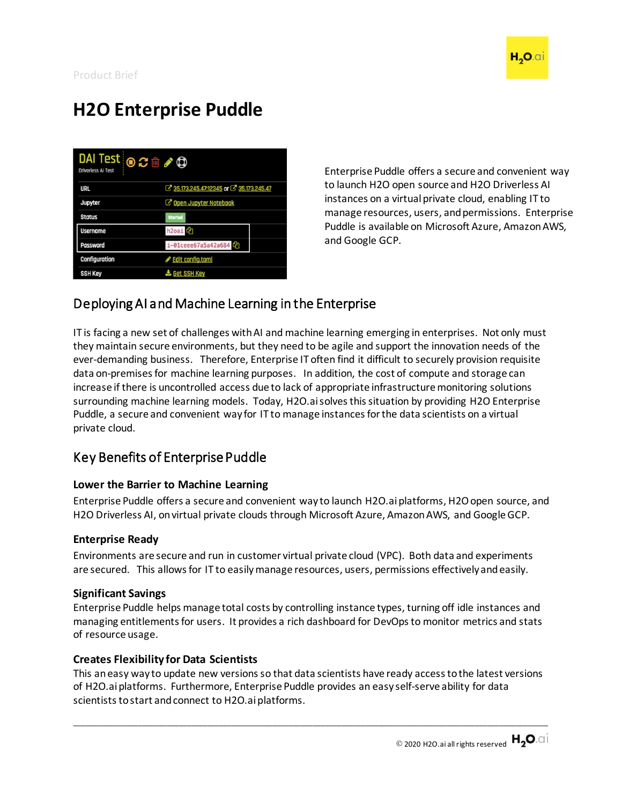

# **H2O Enterprise Puddle**

| $D$ Al Test $\circledcirc$ $\circledcirc$ $\circledcirc$ $\circledcirc$<br><b>Driverless AI Test</b> |                                       |  |
|------------------------------------------------------------------------------------------------------|---------------------------------------|--|
| <b>URL</b>                                                                                           | 35.173.245.47.12345 or 35.173.245.47  |  |
| Jupyter                                                                                              | <b><i>C</i></b> Open Jupyter Notebook |  |
| <b>Status</b>                                                                                        | <b>Started</b>                        |  |
| <b>Username</b>                                                                                      | h <sub>2oai</sub> <sup>2</sup>        |  |
| Password                                                                                             | i-01ceee67a5a42a684                   |  |
| Configuration                                                                                        | Edit config.toml                      |  |
| <b>SSH Key</b>                                                                                       | <b>E.</b> Get SSH Key                 |  |

Enterprise Puddle offers a secure and convenient way to launch H2O open source and H2O Driverless AI instances on a virtual private cloud, enabling IT to manage resources, users, and permissions. Enterprise Puddle is available on Microsoft Azure, Amazon AWS, and Google GCP.

### Deploying AI and Machine Learning in the Enterprise

IT is facing a new set of challenges with AI and machine learning emerging in enterprises. Not only must they maintain secure environments, but they need to be agile and support the innovation needs of the ever-demanding business. Therefore, Enterprise IT often find it difficult to securely provision requisite data on-premises for machine learning purposes. In addition, the cost of compute and storage can increase if there is uncontrolled access due to lack of appropriate infrastructure monitoring solutions surrounding machine learning models. Today, H2O.ai solves this situation by providing H2O Enterprise Puddle, a secure and convenient way for IT to manage instances for the data scientists on a virtual private cloud.

## Key Benefits of Enterprise Puddle

#### **Lower the Barrier to Machine Learning**

Enterprise Puddle offers a secure and convenient way to launch H2O.aiplatforms, H2O open source, and H2O Driverless AI, on virtual private clouds through Microsoft Azure, Amazon AWS, and Google GCP.

#### **Enterprise Ready**

Environments are secure and run in customer virtual private cloud (VPC). Both data and experiments are secured. This allows for IT to easilymanage resources, users, permissions effectively and easily.

#### **Significant Savings**

Enterprise Puddle helps manage total costs by controlling instance types, turning off idle instances and managing entitlements for users. It provides a rich dashboard for DevOps to monitor metrics and stats of resource usage.

#### **Creates Flexibility for Data Scientists**

This an easy way to update new versions so that data scientists have ready access to the latest versions of H2O.ai platforms. Furthermore, Enterprise Puddle provides an easy self-serve ability for data scientists to start and connect to H2O.ai platforms.

\_\_\_\_\_\_\_\_\_\_\_\_\_\_\_\_\_\_\_\_\_\_\_\_\_\_\_\_\_\_\_\_\_\_\_\_\_\_\_\_\_\_\_\_\_\_\_\_\_\_\_\_\_\_\_\_\_\_\_\_\_\_\_\_\_\_\_\_\_\_\_\_\_\_\_\_\_\_\_\_\_\_\_\_\_\_\_\_\_\_\_\_\_\_\_\_\_\_\_\_\_\_\_\_\_\_\_\_\_\_\_\_\_\_\_\_\_